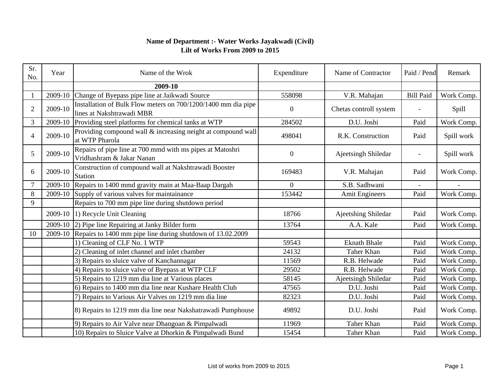## **Name of Department :- Water Works Jayakwadi (Civil) Lilt of Works From 2009 to 2015**

| Sr.<br>No.     | Year    | Name of the Wrok                                                                           | Expenditure      | Name of Contractor     | Paid / Pend      | Remark     |
|----------------|---------|--------------------------------------------------------------------------------------------|------------------|------------------------|------------------|------------|
|                |         | 2009-10                                                                                    |                  |                        |                  |            |
|                | 2009-10 | Change of Byepass pipe line at Jaikwadi Source                                             | 558098           | V.R. Mahajan           | <b>Bill Paid</b> | Work Comp. |
| $\overline{2}$ | 2009-10 | Installation of Bulk Flow meters on 700/1200/1400 mm dia pipe<br>lines at Nakshtrawadi MBR | $\boldsymbol{0}$ | Chetas controll system |                  | Spill      |
| 3              | 2009-10 | Providing steel platforms for chemical tanks at WTP                                        | 284502           | D.U. Joshi             | Paid             | Work Comp. |
| 4              | 2009-10 | Providing compound wall & increasing neight at compound wall<br>at WTP Pharola             | 498041           | R.K. Construction      | Paid             | Spill work |
| 5              | 2009-10 | Repairs of pipe line at 700 mmd with ms pipes at Matoshri<br>Vridhashram & Jakar Nanan     | $\overline{0}$   | Ajeetsingh Shiledar    |                  | Spill work |
| 6              | 2009-10 | Construction of compound wall at Nakshtrawadi Booster<br><b>Station</b>                    | 169483           | V.R. Mahajan           | Paid             | Work Comp. |
|                | 2009-10 | Repairs to 1400 mmd gravity main at Maa-Baap Dargah                                        | 0                | S.B. Sadhwani          |                  |            |
| 8              | 2009-10 | Supply of various valves for maintainance                                                  | 153442           | <b>Amit Engineers</b>  | Paid             | Work Comp. |
| 9              |         | Repairs to 700 mm pipe line during shutdown period                                         |                  |                        |                  |            |
|                |         | 2009-10 1) Recycle Unit Cleaning                                                           | 18766            | Ajeetshing Shiledar    | Paid             | Work Comp. |
|                |         | 2009-10 (2) Pipe line Repairing at Janky Bilder form                                       | 13764            | A.A. Kale              | Paid             | Work Comp. |
| 10             |         | 2009-10 Repairs to 1400 mm pipe line during shutdown of 13.02.2009                         |                  |                        |                  |            |
|                |         | 1) Cleaning of CLF No. 1 WTP                                                               | 59543            | <b>Eknath Bhale</b>    | Paid             | Work Comp. |
|                |         | 2) Cleaning of inlet channel and inlet chamber                                             | 24132            | Taher Khan             | Paid             | Work Comp. |
|                |         | 3) Repairs to sluice valve of Kanchannagar                                                 | 11569            | R.B. Helwade           | Paid             | Work Comp. |
|                |         | 4) Repairs to sluice valve of Byepass at WTP CLF                                           | 29502            | R.B. Helwade           | Paid             | Work Comp. |
|                |         | 5) Repairs to 1219 mm dia line at Various places                                           | 58145            | Ajeetsingh Shiledar    | Paid             | Work Comp. |
|                |         | 6) Repairs to 1400 mm dia line near Kushare Health Club                                    | 47565            | D.U. Joshi             | Paid             | Work Comp. |
|                |         | 7) Repairs to Various Air Valves on 1219 mm dia line                                       | 82323            | D.U. Joshi             | Paid             | Work Comp. |
|                |         | 8) Repairs to 1219 mm dia line near Nakshatrawadi Pumphouse                                | 49892            | D.U. Joshi             | Paid             | Work Comp. |
|                |         | 9) Repairs to Air Valve near Dhangoan & Pimpalwadi                                         | 11969            | Taher Khan             | Paid             | Work Comp. |
|                |         | 10) Repairs to Sluice Valve at Dhorkin & Pimpalwadi Bund                                   | 15454            | Taher Khan             | Paid             | Work Comp. |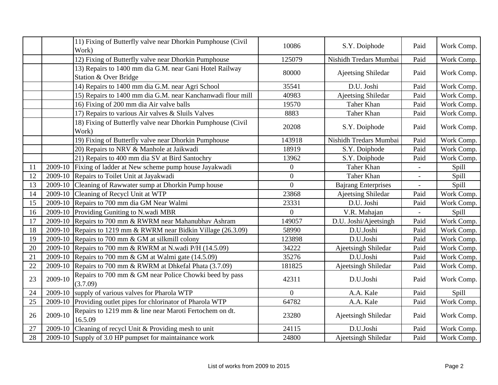|    |         | 11) Fixing of Butterfly valve near Dhorkin Pumphouse (Civil<br>Work)             | 10086          | S.Y. Doiphode              | Paid                     | Work Comp. |
|----|---------|----------------------------------------------------------------------------------|----------------|----------------------------|--------------------------|------------|
|    |         | 12) Fixing of Butterfly valve near Dhorkin Pumphouse                             | 125079         | Nishidh Tredars Mumbai     | Paid                     | Work Comp. |
|    |         | 13) Repairs to 1400 mm dia G.M. near Gani Hotel Railway<br>Station & Over Bridge | 80000          | Ajeetsing Shiledar         | Paid                     | Work Comp. |
|    |         | 14) Repairs to 1400 mm dia G.M. near Agri School                                 | 35541          | D.U. Joshi                 | Paid                     | Work Comp. |
|    |         | 15) Repairs to 1400 mm dia G.M. near Kanchanwadi flour mill                      | 40983          | Ajeetsing Shiledar         | Paid                     | Work Comp. |
|    |         | 16) Fixing of 200 mm dia Air valve balls                                         | 19570          | Taher Khan                 | Paid                     | Work Comp. |
|    |         | 17) Repairs to various Air valves & Sluils Valves                                | 8883           | Taher Khan                 | Paid                     | Work Comp. |
|    |         | 18) Fixing of Butterfly valve near Dhorkin Pumphouse (Civil<br>Work)             | 20208          | S.Y. Doiphode              | Paid                     | Work Comp. |
|    |         | 19) Fixing of Butterfly valve near Dhorkin Pumphouse                             | 143918         | Nishidh Tredars Mumbai     | Paid                     | Work Comp. |
|    |         | 20) Repairs to NRV & Manhole at Jaikwadi                                         | 18919          | S.Y. Doiphode              | Paid                     | Work Comp. |
|    |         | 21) Repairs to 400 mm dia SV at Bird Santochry                                   | 13962          | S.Y. Doiphode              | Paid                     | Work Comp. |
| 11 | 2009-10 | Fixing of ladder at New scheme pump house Jayakwadi                              | $\overline{0}$ | Taher Khan                 |                          | Spill      |
| 12 | 2009-10 | Repairs to Toilet Unit at Jayakwadi                                              | $\overline{0}$ | Taher Khan                 |                          | Spill      |
| 13 | 2009-10 | Cleaning of Rawwater sump at Dhorkin Pump house                                  | $\Omega$       | <b>Bajrang Enterprises</b> | $\overline{\phantom{a}}$ | Spill      |
| 14 | 2009-10 | Cleaning of Recycl Unit at WTP                                                   | 23868          | Ajeetsing Shiledar         | Paid                     | Work Comp. |
| 15 | 2009-10 | Repairs to 700 mm dia GM Near Walmi                                              | 23331          | D.U. Joshi                 | Paid                     | Work Comp. |
| 16 |         | 2009-10 Providing Guniting to N.wadi MBR                                         | $\theta$       | V.R. Mahajan               |                          | Spill      |
| 17 | 2009-10 | Repairs to 700 mm & RWRM near Mahanubhav Ashram                                  | 149057         | D.U. Joshi/Ajeetsingh      | Paid                     | Work Comp. |
| 18 | 2009-10 | Repairs to 1219 mm & RWRM near Bidkin Village (26.3.09)                          | 58990          | D.U.Joshi                  | Paid                     | Work Comp. |
| 19 | 2009-10 | Repairs to 700 mm & GM at silkmill colony                                        | 123898         | D.U.Joshi                  | Paid                     | Work Comp. |
| 20 | 2009-10 | Repairs to 700 mm & RWRM at N.wadi P/H (14.5.09)                                 | 34222          | Ajeetsingh Shiledar        | Paid                     | Work Comp. |
| 21 | 2009-10 | Repairs to 700 mm & GM at Walmi gate (14.5.09)                                   | 35276          | D.U.Joshi                  | Paid                     | Work Comp. |
| 22 | 2009-10 | Repairs to 700 mm & RWRM at Dhkefal Phata (3.7.09)                               | 181825         | Ajeetsingh Shiledar        | Paid                     | Work Comp. |
| 23 | 2009-10 | Repairs to 700 mm & GM near Police Chowki beed by pass<br>(3.7.09)               | 42311          | D.U.Joshi                  | Paid                     | Work Comp. |
| 24 | 2009-10 | supply of various valves for Pharola WTP                                         | $\Omega$       | A.A. Kale                  | Paid                     | Spill      |
| 25 | 2009-10 | Providing outlet pipes for chlorinator of Pharola WTP                            | 64782          | A.A. Kale                  | Paid                     | Work Comp. |
| 26 | 2009-10 | Repairs to 1219 mm & line near Maroti Fertochem on dt.<br>16.5.09                | 23280          | Ajeetsingh Shiledar        | Paid                     | Work Comp. |
| 27 | 2009-10 | Cleaning of recycl Unit & Providing mesh to unit                                 | 24115          | D.U.Joshi                  | Paid                     | Work Comp. |
| 28 | 2009-10 | Supply of 3.0 HP pumpset for maintainance work                                   | 24800          | Ajeetsingh Shiledar        | Paid                     | Work Comp. |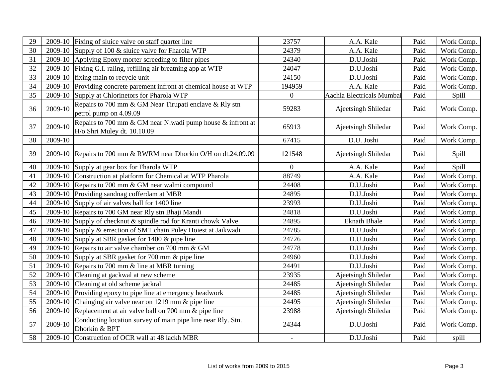| 29 |         | 2009-10 Fixing of sluice valve on staff quarter line                                      | 23757            | A.A. Kale                 | Paid | Work Comp. |
|----|---------|-------------------------------------------------------------------------------------------|------------------|---------------------------|------|------------|
| 30 |         | 2009-10 Supply of 100 $&$ sluice valve for Fharola WTP                                    | 24379            | A.A. Kale                 | Paid | Work Comp. |
| 31 |         | 2009-10 Applying Epoxy morter screeding to filter pipes                                   | 24340            | D.U.Joshi                 | Paid | Work Comp. |
| 32 |         | 2009-10 Fixing G.I. raling, refilling air breatning app at WTP                            | 24047            | D.U.Joshi                 | Paid | Work Comp. |
| 33 |         | 2009-10 fixing main to recycle unit                                                       | 24150            | D.U.Joshi                 | Paid | Work Comp. |
| 34 | 2009-10 | Providing concrete parement infront at chemical house at WTP                              | 194959           | A.A. Kale                 | Paid | Work Comp. |
| 35 | 2009-10 | Supply at Chlorinetors for Pharola WTP                                                    | $\boldsymbol{0}$ | Aachla Electricals Mumbai | Paid | Spill      |
| 36 | 2009-10 | Repairs to 700 mm & GM Near Tirupati enclave & Rly stn<br>petrol pump on 4.09.09          | 59283            | Ajeetsingh Shiledar       | Paid | Work Comp. |
| 37 | 2009-10 | Repairs to 700 mm & GM near N.wadi pump house & infront at<br>H/o Shri Muley dt. 10.10.09 | 65913            | Ajeetsingh Shiledar       | Paid | Work Comp. |
| 38 | 2009-10 |                                                                                           | 67415            | D.U. Joshi                | Paid | Work Comp. |
| 39 |         | 2009-10 Repairs to 700 mm & RWRM near Dhorkin O/H on dt.24.09.09                          | 121548           | Ajeetsingh Shiledar       | Paid | Spill      |
| 40 |         | 2009-10 Supply at gear box for Fharola WTP                                                | $\overline{0}$   | A.A. Kale                 | Paid | Spill      |
| 41 |         | 2009-10 Construction at platform for Chemical at WTP Pharola                              | 88749            | A.A. Kale                 | Paid | Work Comp. |
| 42 |         | 2009-10 Repairs to 700 mm & GM near walmi compound                                        | 24408            | D.U.Joshi                 | Paid | Work Comp. |
| 43 |         | 2009-10 Providing sandnag cofferdam at MBR                                                | 24895            | D.U.Joshi                 | Paid | Work Comp. |
| 44 |         | 2009-10 Supply of air valves ball for 1400 line                                           | 23993            | D.U.Joshi                 | Paid | Work Comp. |
| 45 |         | 2009-10 Repairs to 700 GM near Rly stn Bhaji Mandi                                        | 24818            | D.U.Joshi                 | Paid | Work Comp. |
| 46 |         | 2009-10 Supply of checknut & spindle rod for Kranti chowk Valve                           | 24895            | <b>Eknath Bhale</b>       | Paid | Work Comp. |
| 47 |         | 2009-10 Supply & errection of SMT chain Puley Hoiest at Jaikwadi                          | 24785            | D.U.Joshi                 | Paid | Work Comp. |
| 48 |         | 2009-10 Supply at SBR gasket for 1400 & pipe line                                         | 24726            | D.U.Joshi                 | Paid | Work Comp. |
| 49 |         | 2009-10 Repairs to air valve chamber on 700 mm & GM                                       | 24778            | D.U.Joshi                 | Paid | Work Comp. |
| 50 |         | 2009-10 Supply at SBR gasket for 700 mm & pipe line                                       | 24960            | D.U.Joshi                 | Paid | Work Comp. |
| 51 |         | 2009-10 Repairs to 700 mm $\&$ line at MBR turning                                        | 24491            | D.U.Joshi                 | Paid | Work Comp. |
| 52 | 2009-10 | Cleaning at gackwal at new scheme                                                         | 23935            | Ajeetsingh Shiledar       | Paid | Work Comp. |
| 53 |         | 2009-10 Cleaning at old scheme jackral                                                    | 24485            | Ajeetsingh Shiledar       | Paid | Work Comp. |
| 54 | 2009-10 | Providing epoxy to pipe line at emergency headwork                                        | 24485            | Ajeetsingh Shiledar       | Paid | Work Comp. |
| 55 |         | 2009-10 Chainging air valve near on 1219 mm & pipe line                                   | 24495            | Ajeetsingh Shiledar       | Paid | Work Comp. |
| 56 |         | 2009-10 Replacement at air valve ball on 700 mm & pipe line                               | 23988            | Ajeetsingh Shiledar       | Paid | Work Comp. |
| 57 | 2009-10 | Conducting location survey of main pipe line near Rly. Stn.<br>Dhorkin & BPT              | 24344            | D.U.Joshi                 | Paid | Work Comp. |
| 58 |         | 2009-10 Construction of OCR wall at 48 lackh MBR                                          |                  | D.U.Joshi                 | Paid | spill      |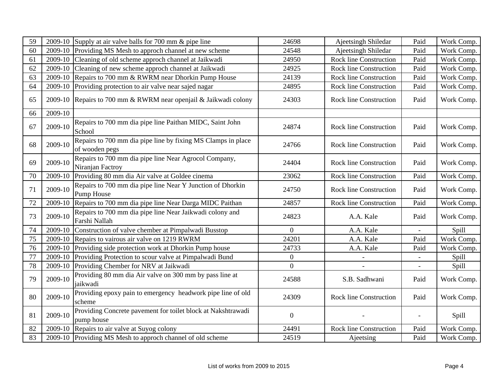| 59 |         | 2009-10 Supply at air valve balls for 700 mm & pipe line                       | 24698            | Ajeetsingh Shiledar           | Paid | Work Comp. |
|----|---------|--------------------------------------------------------------------------------|------------------|-------------------------------|------|------------|
| 60 | 2009-10 | Providing MS Mesh to approch channel at new scheme                             | 24548            | Ajeetsingh Shiledar           | Paid | Work Comp. |
| 61 | 2009-10 | Cleaning of old scheme approch channel at Jaikwadi                             | 24950            | <b>Rock line Construction</b> | Paid | Work Comp. |
| 62 |         | 2009-10 Cleaning of new scheme approch channel at Jaikwadi                     | 24925            | <b>Rock line Construction</b> | Paid | Work Comp. |
| 63 | 2009-10 | Repairs to 700 mm & RWRM near Dhorkin Pump House                               | 24139            | Rock line Construction        | Paid | Work Comp. |
| 64 | 2009-10 | Providing protection to air valve near sajed nagar                             | 24895            | Rock line Construction        | Paid | Work Comp. |
| 65 |         | 2009-10 Repairs to 700 mm & RWRM near openjail & Jaikwadi colony               | 24303            | Rock line Construction        | Paid | Work Comp. |
| 66 | 2009-10 |                                                                                |                  |                               |      |            |
| 67 | 2009-10 | Repairs to 700 mm dia pipe line Paithan MIDC, Saint John<br>School             | 24874            | <b>Rock line Construction</b> | Paid | Work Comp. |
| 68 | 2009-10 | Repairs to 700 mm dia pipe line by fixing MS Clamps in place<br>of wooden pegs | 24766            | <b>Rock line Construction</b> | Paid | Work Comp. |
| 69 | 2009-10 | Repairs to 700 mm dia pipe line Near Agrocol Company,<br>Niranjan Factroy      | 24404            | <b>Rock line Construction</b> | Paid | Work Comp. |
| 70 | 2009-10 | Providing 80 mm dia Air valve at Goldee cinema                                 | 23062            | <b>Rock line Construction</b> | Paid | Work Comp. |
| 71 | 2009-10 | Repairs to 700 mm dia pipe line Near Y Junction of Dhorkin<br>Pump House       | 24750            | <b>Rock line Construction</b> | Paid | Work Comp. |
| 72 | 2009-10 | Repairs to 700 mm dia pipe line Near Darga MIDC Paithan                        | 24857            | <b>Rock line Construction</b> | Paid | Work Comp. |
| 73 | 2009-10 | Repairs to 700 mm dia pipe line Near Jaikwadi colony and<br>Farshi Nallah      | 24823            | A.A. Kale                     | Paid | Work Comp. |
| 74 | 2009-10 | Construction of valve chember at Pimpalwadi Busstop                            | $\overline{0}$   | A.A. Kale                     |      | Spill      |
| 75 | 2009-10 | Repairs to vairous air valve on 1219 RWRM                                      | 24201            | A.A. Kale                     | Paid | Work Comp. |
| 76 | 2009-10 | Providing side protection work at Dhorkin Pump house                           | 24733            | A.A. Kale                     | Paid | Work Comp. |
| 77 | 2009-10 | Providing Protection to scour valve at Pimpalwadi Bund                         | $\boldsymbol{0}$ |                               |      | Spill      |
| 78 | 2009-10 | Providing Chember for NRV at Jaikwadi                                          | $\boldsymbol{0}$ |                               |      | Spill      |
| 79 | 2009-10 | Providing 80 mm dia Air valve on 300 mm by pass line at<br>jaikwadi            | 24588            | S.B. Sadhwani                 | Paid | Work Comp. |
| 80 | 2009-10 | Providing epoxy pain to emergency headwork pipe line of old<br>scheme          | 24309            | <b>Rock line Construction</b> | Paid | Work Comp. |
| 81 | 2009-10 | Providing Concrete pavement for toilet block at Nakshtrawadi<br>pump house     | $\boldsymbol{0}$ |                               |      | Spill      |
| 82 | 2009-10 | Repairs to air valve at Suyog colony                                           | 24491            | <b>Rock line Construction</b> | Paid | Work Comp. |
| 83 |         | 2009-10 Providing MS Mesh to approch channel of old scheme                     | 24519            | Ajeetsing                     | Paid | Work Comp. |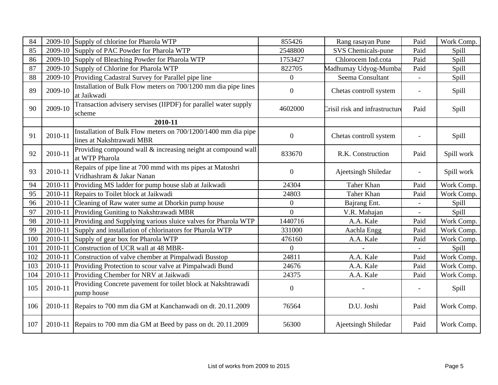| 84  |         | 2009-10 Supply of chlorine for Pharola WTP                                                 | 855426           | Rang rasayan Pune              | Paid | Work Comp. |
|-----|---------|--------------------------------------------------------------------------------------------|------------------|--------------------------------|------|------------|
| 85  |         | 2009-10 Supply of PAC Powder for Pharola WTP                                               | 2548800          | SVS Chemicals-pune             | Paid | Spill      |
| 86  |         | 2009-10 Supply of Bleaching Powder for Pharola WTP                                         | 1753427          | Chlorocem Ind.cota             | Paid | Spill      |
| 87  |         | 2009-10 Supply of Chlorine for Pharola WTP                                                 | 822705           | Madhumay Udyog-Mumba           | Paid | Spill      |
| 88  | 2009-10 | Providing Cadastral Survey for Parallel pipe line                                          | $\overline{0}$   | Seema Consultant               |      | Spill      |
| 89  | 2009-10 | Installation of Bulk Flow meters on 700/1200 mm dia pipe lines<br>at Jaikwadi              | $\boldsymbol{0}$ | Chetas controll system         |      | Spill      |
| 90  | 2009-10 | Transaction advisery servises (IIPDF) for parallel water supply<br>scheme                  | 4602000          | Crisil risk and infrastructure | Paid | Spill      |
|     |         | 2010-11                                                                                    |                  |                                |      |            |
| 91  | 2010-11 | Installation of Bulk Flow meters on 700/1200/1400 mm dia pipe<br>lines at Nakshtrawadi MBR | $\overline{0}$   | Chetas controll system         |      | Spill      |
| 92  | 2010-11 | Providing compound wall & increasing neight at compound wall<br>at WTP Pharola             | 833670           | R.K. Construction              | Paid | Spill work |
| 93  | 2010-11 | Repairs of pipe line at 700 mmd with ms pipes at Matoshri<br>Vridhashram & Jakar Nanan     | $\boldsymbol{0}$ | Ajeetsingh Shiledar            |      | Spill work |
| 94  | 2010-11 | Providing MS ladder for pump house slab at Jaikwadi                                        | 24304            | Taher Khan                     | Paid | Work Comp. |
| 95  | 2010-11 | Repairs to Toilet block at Jaikwadi                                                        | 24803            | Taher Khan                     | Paid | Work Comp. |
| 96  | 2010-11 | Cleaning of Raw water sume at Dhorkin pump house                                           | $\theta$         | Bajrang Ent.                   |      | Spill      |
| 97  | 2010-11 | Providing Guniting to Nakshtrawadi MBR                                                     | $\theta$         | V.R. Mahajan                   |      | Spill      |
| 98  | 2010-11 | Providing and Supplying various sluice valves for Pharola WTP                              | 1440716          | A.A. Kale                      | Paid | Work Comp. |
| 99  | 2010-11 | Supply and installation of chlorinators for Pharola WTP                                    | 331000           | Aachla Engg                    | Paid | Work Comp. |
| 100 | 2010-11 | Supply of gear box for Pharola WTP                                                         | 476160           | A.A. Kale                      | Paid | Work Comp. |
| 101 | 2010-11 | Construction of UCR wall at 48 MBR-                                                        | $\overline{0}$   |                                |      | Spill      |
| 102 | 2010-11 | Construction of valve chember at Pimpalwadi Busstop                                        | 24811            | A.A. Kale                      | Paid | Work Comp. |
| 103 | 2010-11 | Providing Protection to scour valve at Pimpalwadi Bund                                     | 24676            | A.A. Kale                      | Paid | Work Comp. |
| 104 | 2010-11 | Providing Chember for NRV at Jaikwadi                                                      | 24375            | A.A. Kale                      | Paid | Work Comp. |
| 105 | 2010-11 | Providing Concrete pavement for toilet block at Nakshtrawadi<br>pump house                 | $\boldsymbol{0}$ |                                |      | Spill      |
| 106 |         | 2010-11 Repairs to 700 mm dia GM at Kanchanwadi on dt. 20.11.2009                          | 76564            | D.U. Joshi                     | Paid | Work Comp. |
| 107 |         | 2010-11 Repairs to 700 mm dia GM at Beed by pass on dt. 20.11.2009                         | 56300            | Ajeetsingh Shiledar            | Paid | Work Comp. |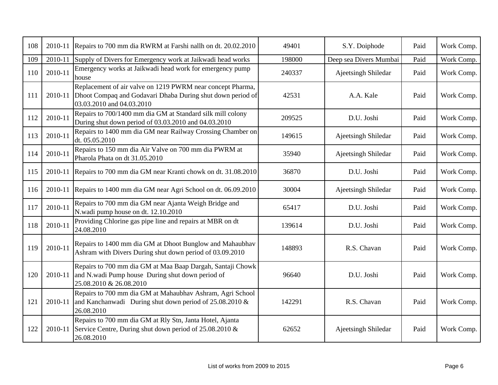| 108 | 2010-11 | Repairs to 700 mm dia RWRM at Farshi nallh on dt. 20.02.2010                                                                                          | 49401  | S.Y. Doiphode          | Paid | Work Comp. |
|-----|---------|-------------------------------------------------------------------------------------------------------------------------------------------------------|--------|------------------------|------|------------|
| 109 | 2010-11 | Supply of Divers for Emergency work at Jaikwadi head works                                                                                            | 198000 | Deep sea Divers Mumbai | Paid | Work Comp. |
| 110 | 2010-11 | Emergency works at Jaikwadi head work for emergency pump<br>house                                                                                     | 240337 | Ajeetsingh Shiledar    | Paid | Work Comp. |
| 111 | 2010-11 | Replacement of air valve on 1219 PWRM near concept Pharma,<br>Dhoot Compaq and Godavari Dhaba During shut down period of<br>03.03.2010 and 04.03.2010 | 42531  | A.A. Kale              | Paid | Work Comp. |
| 112 | 2010-11 | Repairs to 700/1400 mm dia GM at Standard silk mill colony<br>During shut down period of 03.03.2010 and 04.03.2010                                    | 209525 | D.U. Joshi             | Paid | Work Comp. |
| 113 | 2010-11 | Repairs to 1400 mm dia GM near Railway Crossing Chamber on<br>dt. 05.05.2010                                                                          | 149615 | Ajeetsingh Shiledar    | Paid | Work Comp. |
| 114 | 2010-11 | Repairs to 150 mm dia Air Valve on 700 mm dia PWRM at<br>Pharola Phata on dt 31.05.2010                                                               | 35940  | Ajeetsingh Shiledar    | Paid | Work Comp. |
| 115 |         | 2010-11 Repairs to 700 mm dia GM near Kranti chowk on dt. 31.08.2010                                                                                  | 36870  | D.U. Joshi             | Paid | Work Comp. |
| 116 | 2010-11 | Repairs to 1400 mm dia GM near Agri School on dt. 06.09.2010                                                                                          | 30004  | Ajeetsingh Shiledar    | Paid | Work Comp. |
| 117 | 2010-11 | Repairs to 700 mm dia GM near Ajanta Weigh Bridge and<br>N.wadi pump house on dt. 12.10.2010                                                          | 65417  | D.U. Joshi             | Paid | Work Comp. |
| 118 | 2010-11 | Providing Chlorine gas pipe line and repairs at MBR on dt<br>24.08.2010                                                                               | 139614 | D.U. Joshi             | Paid | Work Comp. |
| 119 | 2010-11 | Repairs to 1400 mm dia GM at Dhoot Bunglow and Mahaubhav<br>Ashram with Divers During shut down period of 03.09.2010                                  | 148893 | R.S. Chavan            | Paid | Work Comp. |
| 120 | 2010-11 | Repairs to 700 mm dia GM at Maa Baap Dargah, Santaji Chowk<br>and N.wadi Pump house During shut down period of<br>25.08.2010 & 26.08.2010             | 96640  | D.U. Joshi             | Paid | Work Comp. |
| 121 | 2010-11 | Repairs to 700 mm dia GM at Mahaubhav Ashram, Agri School<br>and Kanchanwadi During shut down period of $25.08.2010 \&$<br>26.08.2010                 | 142291 | R.S. Chavan            | Paid | Work Comp. |
| 122 | 2010-11 | Repairs to 700 mm dia GM at Rly Stn, Janta Hotel, Ajanta<br>Service Centre, During shut down period of 25.08.2010 &<br>26.08.2010                     | 62652  | Ajeetsingh Shiledar    | Paid | Work Comp. |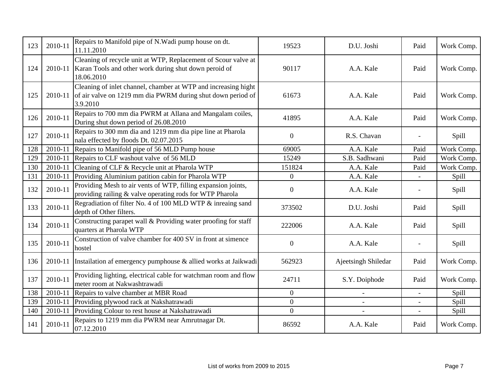| 123 | 2010-11 | Repairs to Manifold pipe of N.Wadi pump house on dt.<br>11.11.2010                                                                        | 19523            | D.U. Joshi          | Paid           | Work Comp.   |
|-----|---------|-------------------------------------------------------------------------------------------------------------------------------------------|------------------|---------------------|----------------|--------------|
| 124 | 2010-11 | Cleaning of recycle unit at WTP, Replacement of Scour valve at<br>Karan Tools and other work during shut down peroid of<br>18.06.2010     | 90117            | A.A. Kale           | Paid           | Work Comp.   |
| 125 | 2010-11 | Cleaning of inlet channel, chamber at WTP and increasing hight<br>of air valve on 1219 mm dia PWRM during shut down period of<br>3.9.2010 | 61673            | A.A. Kale           | Paid           | Work Comp.   |
| 126 | 2010-11 | Repairs to 700 mm dia PWRM at Allana and Mangalam coiles,<br>During shut down period of 26.08.2010                                        | 41895            | A.A. Kale           | Paid           | Work Comp.   |
| 127 | 2010-11 | Repairs to 300 mm dia and 1219 mm dia pipe line at Pharola<br>nala effected by floods Dt. 02.07.2015                                      | $\overline{0}$   | R.S. Chavan         |                | Spill        |
| 128 | 2010-11 | Repairs to Manifold pipe of 56 MLD Pump house                                                                                             | 69005            | A.A. Kale           | Paid           | Work Comp.   |
| 129 | 2010-11 | Repairs to CLF washout valve of 56 MLD                                                                                                    | 15249            | S.B. Sadhwani       | Paid           | Work Comp.   |
| 130 | 2010-11 | Cleaning of CLF & Recycle unit at Pharola WTP                                                                                             | 151824           | A.A. Kale           | Paid           | Work Comp.   |
| 131 | 2010-11 | Providing Aluminium patition cabin for Pharola WTP                                                                                        | 0                | A.A. Kale           |                | Spill        |
| 132 | 2010-11 | Providing Mesh to air vents of WTP, filling expansion joints,<br>providing railing & valve operating rods for WTP Pharola                 | $\boldsymbol{0}$ | A.A. Kale           |                | Spill        |
| 133 | 2010-11 | Regradiation of filter No. 4 of 100 MLD WTP & inreaing sand<br>depth of Other filters.                                                    | 373502           | D.U. Joshi          | Paid           | <b>Spill</b> |
| 134 | 2010-11 | Constructing parapet wall & Providing water proofing for staff<br>quarters at Pharola WTP                                                 | 222006           | A.A. Kale           | Paid           | Spill        |
| 135 | 2010-11 | Construction of valve chamber for 400 SV in front at simence<br>hostel                                                                    | $\mathbf{0}$     | A.A. Kale           |                | Spill        |
| 136 | 2010-11 | Instailation af emergency pumphouse & allied works at Jaikwadi                                                                            | 562923           | Ajeetsingh Shiledar | Paid           | Work Comp.   |
| 137 | 2010-11 | Providing lighting, electrical cable for watchman room and flow<br>meter room at Nakwashtrawadi                                           | 24711            | S.Y. Doiphode       | Paid           | Work Comp.   |
| 138 | 2010-11 | Repairs to valve chamber at MBR Road                                                                                                      | $\overline{0}$   |                     | $\overline{a}$ | Spill        |
| 139 | 2010-11 | Providing plywood rack at Nakshatrawadi                                                                                                   | $\overline{0}$   |                     |                | Spill        |
| 140 | 2010-11 | Providing Colour to rest house at Nakshatrawadi                                                                                           | $\overline{0}$   |                     |                | Spill        |
| 141 | 2010-11 | Repairs to 1219 mm dia PWRM near Amrutnagar Dt.<br>07.12.2010                                                                             | 86592            | A.A. Kale           | Paid           | Work Comp.   |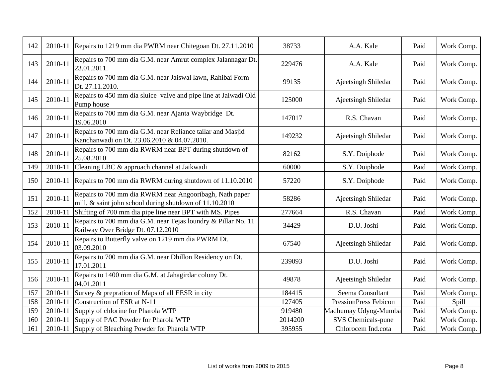| 142 | 2010-11 | Repairs to 1219 mm dia PWRM near Chitegoan Dt. 27.11.2010                                                          | 38733   | A.A. Kale                    | Paid | Work Comp. |
|-----|---------|--------------------------------------------------------------------------------------------------------------------|---------|------------------------------|------|------------|
| 143 | 2010-11 | Repairs to 700 mm dia G.M. near Amrut complex Jalannagar Dt.<br>23.01.2011.                                        | 229476  | A.A. Kale                    | Paid | Work Comp. |
| 144 | 2010-11 | Repairs to 700 mm dia G.M. near Jaiswal lawn, Rahibai Form<br>Dt. 27.11.2010.                                      | 99135   | Ajeetsingh Shiledar          | Paid | Work Comp. |
| 145 | 2010-11 | Repairs to 450 mm dia sluice valve and pipe line at Jaiwadi Old<br>Pump house                                      | 125000  | Ajeetsingh Shiledar          | Paid | Work Comp. |
| 146 | 2010-11 | Repairs to 700 mm dia G.M. near Ajanta Waybridge Dt.<br>19.06.2010                                                 | 147017  | R.S. Chavan                  | Paid | Work Comp. |
| 147 | 2010-11 | Repairs to 700 mm dia G.M. near Reliance tailar and Masjid<br>Kanchanwadi on Dt. 23.06.2010 & 04.07.2010.          | 149232  | Ajeetsingh Shiledar          | Paid | Work Comp. |
| 148 | 2010-11 | Repairs to 700 mm dia RWRM near BPT during shutdown of<br>25.08.2010                                               | 82162   | S.Y. Doiphode                | Paid | Work Comp. |
| 149 | 2010-11 | Cleaning LBC & approach channel at Jaikwadi                                                                        | 60000   | S.Y. Doiphode                | Paid | Work Comp. |
| 150 | 2010-11 | Repairs to 700 mm dia RWRM during shutdown of 11.10.2010                                                           | 57220   | S.Y. Doiphode                | Paid | Work Comp. |
| 151 | 2010-11 | Repairs to 700 mm dia RWRM near Angooribagh, Nath paper<br>mill, & saint john school during shutdown of 11.10.2010 | 58286   | Ajeetsingh Shiledar          | Paid | Work Comp. |
| 152 | 2010-11 | Shifting of 700 mm dia pipe line near BPT with MS. Pipes                                                           | 277664  | R.S. Chavan                  | Paid | Work Comp. |
| 153 | 2010-11 | Repairs to 700 mm dia G.M. near Tejas loundry & Pillar No. 11<br>Railway Over Bridge Dt. 07.12.2010                | 34429   | D.U. Joshi                   | Paid | Work Comp. |
| 154 | 2010-11 | Repairs to Butterfly valve on 1219 mm dia PWRM Dt.<br>03.09.2010                                                   | 67540   | Ajeetsingh Shiledar          | Paid | Work Comp. |
| 155 | 2010-11 | Repairs to 700 mm dia G.M. near Dhillon Residency on Dt.<br>17.01.2011                                             | 239093  | D.U. Joshi                   | Paid | Work Comp. |
| 156 | 2010-11 | Repairs to 1400 mm dia G.M. at Jahagirdar colony Dt.<br>04.01.2011                                                 | 49878   | Ajeetsingh Shiledar          | Paid | Work Comp. |
| 157 | 2010-11 | Survey & prepration of Maps of all EESR in city                                                                    | 184415  | Seema Consultant             | Paid | Work Comp. |
| 158 | 2010-11 | Construction of ESR at N-11                                                                                        | 127405  | <b>PressionPress Febicon</b> | Paid | Spill      |
| 159 | 2010-11 | Supply of chlorine for Pharola WTP                                                                                 | 919480  | Madhumay Udyog-Mumba         | Paid | Work Comp. |
| 160 | 2010-11 | Supply of PAC Powder for Pharola WTP                                                                               | 2014200 | SVS Chemicals-pune           | Paid | Work Comp. |
| 161 | 2010-11 | Supply of Bleaching Powder for Pharola WTP                                                                         | 395955  | Chlorocem Ind.cota           | Paid | Work Comp. |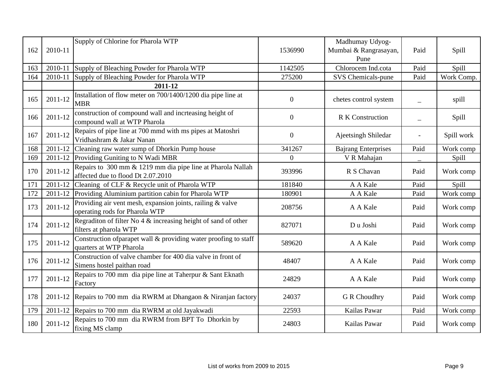| 162 | 2010-11 | Supply of Chlorine for Pharola WTP                                                                | 1536990          | Madhumay Udyog-<br>Mumbai & Rangrasayan,<br>Pune | Paid                     | Spill      |
|-----|---------|---------------------------------------------------------------------------------------------------|------------------|--------------------------------------------------|--------------------------|------------|
| 163 | 2010-11 | Supply of Bleaching Powder for Pharola WTP                                                        | 1142505          | Chlorocem Ind.cota                               | Paid                     | Spill      |
| 164 | 2010-11 | Supply of Bleaching Powder for Pharola WTP                                                        | 275200           | SVS Chemicals-pune                               | Paid                     | Work Comp. |
|     |         | 2011-12                                                                                           |                  |                                                  |                          |            |
| 165 | 2011-12 | Installation of flow meter on 700/1400/1200 dia pipe line at<br><b>MBR</b>                        | $\overline{0}$   | chetes control system                            | $\overline{\phantom{0}}$ | spill      |
| 166 | 2011-12 | construction of compound wall and incrteasing height of<br>compound wall at WTP Pharola           | $\boldsymbol{0}$ | <b>R K Construction</b>                          |                          | Spill      |
| 167 | 2011-12 | Repairs of pipe line at 700 mmd with ms pipes at Matoshri<br>Vridhashram & Jakar Nanan            | $\boldsymbol{0}$ | Ajeetsingh Shiledar                              |                          | Spill work |
| 168 | 2011-12 | Cleaning raw water sump of Dhorkin Pump house                                                     | 341267           | <b>Bajrang Enterprises</b>                       | Paid                     | Work comp  |
| 169 | 2011-12 | Providing Guniting to N Wadi MBR                                                                  | $\Omega$         | V R Mahajan                                      |                          | Spill      |
| 170 | 2011-12 | Repairs to 300 mm & 1219 mm dia pipe line at Pharola Nallah<br>affected due to flood Dt 2.07.2010 | 393996           | R S Chavan                                       | Paid                     | Work comp  |
| 171 | 2011-12 | Cleaning of CLF & Recycle unit of Pharola WTP                                                     | 181840           | A A Kale                                         | Paid                     | Spill      |
| 172 | 2011-12 | Providing Aluminium partition cabin for Pharola WTP                                               | 180901           | A A Kale                                         | Paid                     | Work comp  |
| 173 | 2011-12 | Providing air vent mesh, expansion joints, railing & valve<br>operating rods for Pharola WTP      | 208756           | A A Kale                                         | Paid                     | Work comp  |
| 174 | 2011-12 | Regraditon of filter No $4 \&$ increasing height of sand of other<br>filters at pharola WTP       | 827071           | Du Joshi                                         | Paid                     | Work comp  |
| 175 | 2011-12 | Construction of parapet wall & providing water proofing to staff<br>quarters at WTP Pharola       | 589620           | A A Kale                                         | Paid                     | Work comp  |
| 176 | 2011-12 | Construction of valve chamber for 400 dia valve in front of<br>Simens hostel paithan road         | 48407            | A A Kale                                         | Paid                     | Work comp  |
| 177 | 2011-12 | Repairs to 700 mm dia pipe line at Taherpur & Sant Eknath<br>Factory                              | 24829            | A A Kale                                         | Paid                     | Work comp  |
| 178 | 2011-12 | Repairs to 700 mm dia RWRM at Dhangaon & Niranjan factory                                         | 24037            | <b>G</b> R Choudhry                              | Paid                     | Work comp  |
| 179 |         | 2011-12 Repairs to 700 mm dia RWRM at old Jayakwadi                                               | 22593            | Kailas Pawar                                     | Paid                     | Work comp  |
| 180 | 2011-12 | Repairs to 700 mm dia RWRM from BPT To Dhorkin by<br>fixing MS clamp                              | 24803            | Kailas Pawar                                     | Paid                     | Work comp  |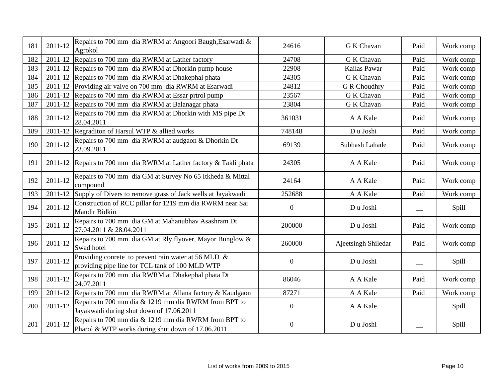| 181 | 2011-12 | Repairs to 700 mm dia RWRM at Angoori Baugh, Esarwadi &<br>Agrokol                                        | 24616            | G K Chavan          | Paid | Work comp    |
|-----|---------|-----------------------------------------------------------------------------------------------------------|------------------|---------------------|------|--------------|
| 182 |         | 2011-12 Repairs to 700 mm dia RWRM at Lather factory                                                      | 24708            | <b>G K Chavan</b>   | Paid | Work comp    |
| 183 |         | 2011-12 Repairs to 700 mm dia RWRM at Dhorkin pump house                                                  | 22908            | Kailas Pawar        | Paid | Work comp    |
| 184 |         | 2011-12 Repairs to 700 mm dia RWRM at Dhakephal phata                                                     | 24305            | G K Chavan          | Paid | Work comp    |
| 185 | 2011-12 | Providing air valve on 700 mm dia RWRM at Esarwadi                                                        | 24812            | <b>G R Choudhry</b> | Paid | Work comp    |
| 186 |         | 2011-12 Repairs to 700 mm dia RWRM at Essar prtrol pump                                                   | 23567            | G K Chavan          | Paid | Work comp    |
| 187 |         | 2011-12 Repairs to 700 mm dia RWRM at Balanagar phata                                                     | 23804            | G K Chavan          | Paid | Work comp    |
| 188 | 2011-12 | Repairs to 700 mm dia RWRM at Dhorkin with MS pipe Dt<br>28.04.2011                                       | 361031           | A A Kale            | Paid | Work comp    |
| 189 |         | 2011-12 Regraditon of Harsul WTP & allied works                                                           | 748148           | Du Joshi            | Paid | Work comp    |
| 190 | 2011-12 | Repairs to 700 mm dia RWRM at audgaon & Dhorkin Dt<br>23.09.2011                                          | 69139            | Subhash Lahade      | Paid | Work comp    |
| 191 |         | 2011-12 Repairs to 700 mm dia RWRM at Lather factory & Takli phata                                        | 24305            | A A Kale            | Paid | Work comp    |
| 192 | 2011-12 | Repairs to 700 mm dia GM at Survey No 65 Itkheda & Mittal<br>compound                                     | 24164            | A A Kale            | Paid | Work comp    |
| 193 | 2011-12 | Supply of Divers to remove grass of Jack wells at Jayakwadi                                               | 252688           | A A Kale            | Paid | Work comp    |
| 194 | 2011-12 | Construction of RCC pillar for 1219 mm dia RWRM near Sai<br>Mandir Bidkin                                 | $\overline{0}$   | Du Joshi            |      | <b>Spill</b> |
| 195 | 2011-12 | Repairs to 700 mm dia GM at Mahanubhav Asashram Dt<br>27.04.2011 & 28.04.2011                             | 200000           | Du Joshi            | Paid | Work comp    |
| 196 | 2011-12 | Repairs to 700 mm dia GM at Rly flyover, Mayor Bunglow &<br>Swad hotel                                    | 260000           | Ajeetsingh Shiledar | Paid | Work comp    |
| 197 | 2011-12 | Providing conrete to prevent rain water at 56 MLD $\&$<br>providing pipe line for TCL tank of 100 MLD WTP | $\boldsymbol{0}$ | Du Joshi            |      | <b>Spill</b> |
| 198 | 2011-12 | Repairs to 700 mm dia RWRM at Dhakephal phata Dt<br>24.07.2011                                            | 86046            | A A Kale            | Paid | Work comp    |
| 199 | 2011-12 | Repairs to 700 mm dia RWRM at Allana factory & Kaudgaon                                                   | 87271            | A A Kale            | Paid | Work comp    |
| 200 | 2011-12 | Repairs to 700 mm dia & 1219 mm dia RWRM from BPT to<br>Jayakwadi during shut down of 17.06.2011          | $\overline{0}$   | A A Kale            |      | Spill        |
| 201 | 2011-12 | Repairs to 700 mm dia & 1219 mm dia RWRM from BPT to<br>Pharol & WTP works during shut down of 17.06.2011 | $\boldsymbol{0}$ | Du Joshi            |      | Spill        |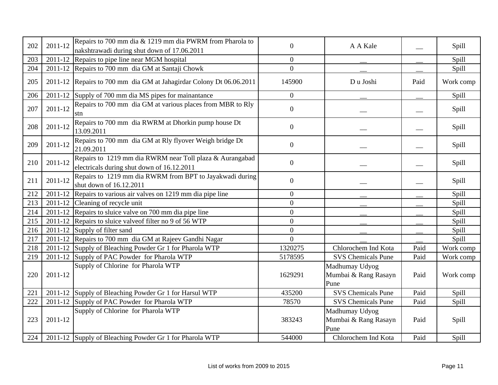| 202 | 2011-12 | Repairs to 700 mm dia & 1219 mm dia PWRM from Pharola to<br>nakshtrawadi during shut down of 17.06.2011 | $\overline{0}$ | A A Kale                                       |      | Spill        |
|-----|---------|---------------------------------------------------------------------------------------------------------|----------------|------------------------------------------------|------|--------------|
| 203 |         | 2011-12 Repairs to pipe line near MGM hospital                                                          | $\overline{0}$ |                                                |      | Spill        |
| 204 |         | 2011-12 Repairs to 700 mm dia GM at Santaji Chowk                                                       | $\overline{0}$ |                                                |      | Spill        |
| 205 |         | 2011-12 Repairs to 700 mm dia GM at Jahagirdar Colony Dt 06.06.2011                                     | 145900         | Du Joshi                                       | Paid | Work comp    |
| 206 |         | 2011-12 Supply of 700 mm dia MS pipes for mainantance                                                   | $\mathbf{0}$   |                                                |      | Spill        |
| 207 | 2011-12 | Repairs to 700 mm dia GM at various places from MBR to Rly<br>stn                                       | $\overline{0}$ |                                                |      | <b>Spill</b> |
| 208 | 2011-12 | Repairs to 700 mm dia RWRM at Dhorkin pump house Dt<br>13.09.2011                                       | $\mathbf{0}$   |                                                |      | Spill        |
| 209 | 2011-12 | Repairs to 700 mm dia GM at Rly flyover Weigh bridge Dt<br>21.09.2011                                   | $\overline{0}$ |                                                |      | Spill        |
| 210 | 2011-12 | Repairs to 1219 mm dia RWRM near Toll plaza & Aurangabad<br>electricals during shut down of 16.12.2011  | $\overline{0}$ |                                                |      | Spill        |
| 211 | 2011-12 | Repairs to 1219 mm dia RWRM from BPT to Jayakwadi during<br>shut down of 16.12.2011                     | $\overline{0}$ |                                                |      | Spill        |
| 212 |         | 2011-12 Repairs to various air valves on 1219 mm dia pipe line                                          | $\overline{0}$ |                                                |      | Spill        |
| 213 |         | 2011-12 Cleaning of recycle unit                                                                        | $\overline{0}$ |                                                |      | Spill        |
| 214 |         | 2011-12 Repairs to sluice valve on 700 mm dia pipe line                                                 | $\overline{0}$ |                                                |      | Spill        |
| 215 |         | 2011-12 Repairs to sluice valve of filter no 9 of 56 WTP                                                | $\overline{0}$ |                                                |      | Spill        |
| 216 |         | 2011-12 Supply of filter sand                                                                           | $\overline{0}$ |                                                |      | Spill        |
| 217 |         | 2011-12 Repairs to 700 mm dia GM at Rajeev Gandhi Nagar                                                 | $\Omega$       |                                                |      | Spill        |
| 218 |         | 2011-12 Supply of Bleaching Powder Gr 1 for Pharola WTP                                                 | 1320275        | Chlorochem Ind Kota                            | Paid | Work comp    |
| 219 |         | 2011-12 Supply of PAC Powder for Pharola WTP                                                            | 5178595        | <b>SVS Chemicals Pune</b>                      | Paid | Work comp    |
| 220 | 2011-12 | Supply of Chlorine for Pharola WTP                                                                      | 1629291        | Madhumay Udyog<br>Mumbai & Rang Rasayn<br>Pune | Paid | Work comp    |
| 221 |         | 2011-12 Supply of Bleaching Powder Gr 1 for Harsul WTP                                                  | 435200         | <b>SVS Chemicals Pune</b>                      | Paid | Spill        |
| 222 |         | 2011-12 Supply of PAC Powder for Pharola WTP                                                            | 78570          | <b>SVS Chemicals Pune</b>                      | Paid | Spill        |
| 223 | 2011-12 | Supply of Chlorine for Pharola WTP                                                                      | 383243         | Madhumay Udyog<br>Mumbai & Rang Rasayn<br>Pune | Paid | Spill        |
| 224 |         | 2011-12 Supply of Bleaching Powder Gr 1 for Pharola WTP                                                 | 544000         | Chlorochem Ind Kota                            | Paid | Spill        |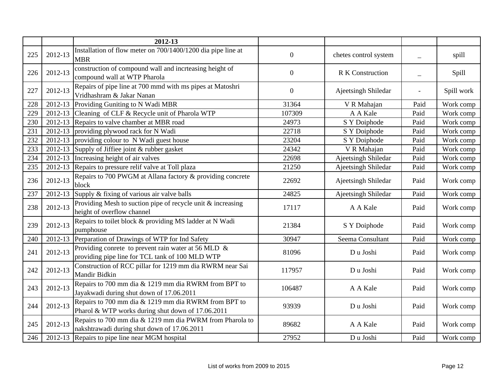|     |         | 2012-13                                                                                                   |                  |                         |      |            |
|-----|---------|-----------------------------------------------------------------------------------------------------------|------------------|-------------------------|------|------------|
| 225 | 2012-13 | Installation of flow meter on 700/1400/1200 dia pipe line at<br><b>MBR</b>                                | $\boldsymbol{0}$ | chetes control system   |      | spill      |
| 226 | 2012-13 | construction of compound wall and incrteasing height of<br>compound wall at WTP Pharola                   | $\boldsymbol{0}$ | <b>R K Construction</b> |      | Spill      |
| 227 | 2012-13 | Repairs of pipe line at 700 mmd with ms pipes at Matoshri<br>Vridhashram & Jakar Nanan                    | $\boldsymbol{0}$ | Ajeetsingh Shiledar     |      | Spill work |
| 228 |         | 2012-13 Providing Guniting to N Wadi MBR                                                                  | 31364            | V R Mahajan             | Paid | Work comp  |
| 229 | 2012-13 | Cleaning of CLF & Recycle unit of Pharola WTP                                                             | 107309           | A A Kale                | Paid | Work comp  |
| 230 | 2012-13 | Repairs to valve chamber at MBR road                                                                      | 24973            | S Y Doiphode            | Paid | Work comp  |
| 231 | 2012-13 | providing plywood rack for N Wadi                                                                         | 22718            | S Y Doiphode            | Paid | Work comp  |
| 232 | 2012-13 | providing colour to N Wadi guest house                                                                    | 23204            | S Y Doiphode            | Paid | Work comp  |
| 233 | 2012-13 | Supply of Jiffiee joint & rubber gasket                                                                   | 24342            | V R Mahajan             | Paid | Work comp  |
| 234 | 2012-13 | Increasing height of air valves                                                                           | 22698            | Ajeetsingh Shiledar     | Paid | Work comp  |
| 235 | 2012-13 | Repairs to pressure relif valve at Toll plaza                                                             | 21250            | Ajeetsingh Shiledar     | Paid | Work comp  |
| 236 | 2012-13 | Repairs to 700 PWGM at Allana factory & providing concrete<br>block                                       | 22692            | Ajeetsingh Shiledar     | Paid | Work comp  |
| 237 | 2012-13 | Supply & fixing of various air valve balls                                                                | 24825            | Ajeetsingh Shiledar     | Paid | Work comp  |
| 238 | 2012-13 | Providing Mesh to suction pipe of recycle unit & increasing<br>height of overflow channel                 | 17117            | A A Kale                | Paid | Work comp  |
| 239 | 2012-13 | Repairs to toilet block & providing MS ladder at N Wadi<br>pumphouse                                      | 21384            | S Y Doiphode            | Paid | Work comp  |
| 240 | 2012-13 | Perparation of Drawings of WTP for Ind Safety                                                             | 30947            | Seema Consultant        | Paid | Work comp  |
| 241 | 2012-13 | Providing conrete to prevent rain water at 56 MLD $\&$<br>providing pipe line for TCL tank of 100 MLD WTP | 81096            | Du Joshi                | Paid | Work comp  |
| 242 | 2012-13 | Construction of RCC pillar for 1219 mm dia RWRM near Sai<br>Mandir Bidkin                                 | 117957           | Du Joshi                | Paid | Work comp  |
| 243 | 2012-13 | Repairs to 700 mm dia & 1219 mm dia RWRM from BPT to<br>Jayakwadi during shut down of 17.06.2011          | 106487           | A A Kale                | Paid | Work comp  |
| 244 | 2012-13 | Repairs to 700 mm dia & 1219 mm dia RWRM from BPT to<br>Pharol & WTP works during shut down of 17.06.2011 | 93939            | Du Joshi                | Paid | Work comp  |
| 245 | 2012-13 | Repairs to 700 mm dia & 1219 mm dia PWRM from Pharola to<br>nakshtrawadi during shut down of 17.06.2011   | 89682            | A A Kale                | Paid | Work comp  |
| 246 |         | 2012-13 Repairs to pipe line near MGM hospital                                                            | 27952            | Du Joshi                | Paid | Work comp  |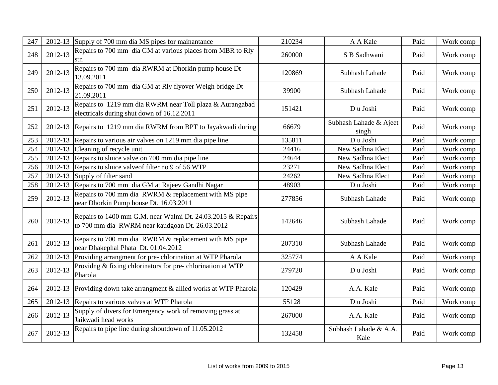| 247 | 2012-13 | Supply of 700 mm dia MS pipes for mainantance                                                                  | 210234 | A A Kale                        | Paid | Work comp |
|-----|---------|----------------------------------------------------------------------------------------------------------------|--------|---------------------------------|------|-----------|
| 248 | 2012-13 | Repairs to 700 mm dia GM at various places from MBR to Rly<br>stn                                              | 260000 | S B Sadhwani                    | Paid | Work comp |
| 249 | 2012-13 | Repairs to 700 mm dia RWRM at Dhorkin pump house Dt<br>13.09.2011                                              | 120869 | Subhash Lahade                  | Paid | Work comp |
| 250 | 2012-13 | Repairs to 700 mm dia GM at Rly flyover Weigh bridge Dt<br>21.09.2011                                          | 39900  | Subhash Lahade                  | Paid | Work comp |
| 251 | 2012-13 | Repairs to 1219 mm dia RWRM near Toll plaza & Aurangabad<br>electricals during shut down of 16.12.2011         | 151421 | Du Joshi                        | Paid | Work comp |
| 252 |         | 2012-13 Repairs to 1219 mm dia RWRM from BPT to Jayakwadi during                                               | 66679  | Subhash Lahade & Ajeet<br>singh | Paid | Work comp |
| 253 | 2012-13 | Repairs to various air valves on 1219 mm dia pipe line                                                         | 135811 | Du Joshi                        | Paid | Work comp |
| 254 |         | 2012-13 Cleaning of recycle unit                                                                               | 24416  | New Sadhna Elect                | Paid | Work comp |
| 255 | 2012-13 | Repairs to sluice valve on 700 mm dia pipe line                                                                | 24644  | New Sadhna Elect                | Paid | Work comp |
| 256 | 2012-13 | Repairs to sluice valve of filter no 9 of 56 WTP                                                               | 23271  | New Sadhna Elect                | Paid | Work comp |
| 257 | 2012-13 | Supply of filter sand                                                                                          | 24262  | New Sadhna Elect                | Paid | Work comp |
| 258 | 2012-13 | Repairs to 700 mm dia GM at Rajeev Gandhi Nagar                                                                | 48903  | Du Joshi                        | Paid | Work comp |
| 259 | 2012-13 | Repairs to 700 mm dia RWRM & replacement with MS pipe<br>near Dhorkin Pump house Dt. 16.03.2011                | 277856 | Subhash Lahade                  | Paid | Work comp |
| 260 | 2012-13 | Repairs to 1400 mm G.M. near Walmi Dt. 24.03.2015 & Repairs<br>to 700 mm dia RWRM near kaudgoan Dt. 26.03.2012 | 142646 | Subhash Lahade                  | Paid | Work comp |
| 261 | 2012-13 | Repairs to 700 mm dia RWRM & replacement with MS pipe<br>near Dhakephal Phata Dt. 01.04.2012                   | 207310 | Subhash Lahade                  | Paid | Work comp |
| 262 | 2012-13 | Providing arrangment for pre-chlorination at WTP Pharola                                                       | 325774 | A A Kale                        | Paid | Work comp |
| 263 | 2012-13 | Providng & fixing chlorinators for pre-chlorination at WTP<br>Pharola                                          | 279720 | Du Joshi                        | Paid | Work comp |
| 264 | 2012-13 | Providing down take arrangment & allied works at WTP Pharola                                                   | 120429 | A.A. Kale                       | Paid | Work comp |
| 265 |         | 2012-13 Repairs to various valves at WTP Pharola                                                               | 55128  | Du Joshi                        | Paid | Work comp |
| 266 | 2012-13 | Supply of divers for Emergency work of removing grass at<br>Jaikwadi head works                                | 267000 | A.A. Kale                       | Paid | Work comp |
| 267 | 2012-13 | Repairs to pipe line during shoutdown of 11.05.2012                                                            | 132458 | Subhash Lahade & A.A.<br>Kale   | Paid | Work comp |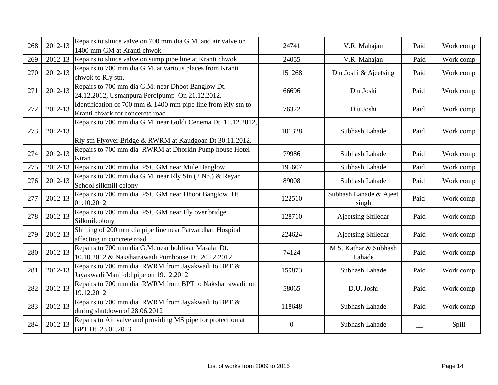| 268 | 2012-13 | Repairs to sluice valve on 700 mm dia G.M. and air valve on<br>1400 mm GM at Kranti chwok                                | 24741            | V.R. Mahajan                    | Paid | Work comp |
|-----|---------|--------------------------------------------------------------------------------------------------------------------------|------------------|---------------------------------|------|-----------|
| 269 |         | 2012-13 Repairs to sluice valve on sump pipe line at Kranti chwok                                                        | 24055            | V.R. Mahajan                    | Paid | Work comp |
| 270 | 2012-13 | Repairs to 700 mm dia G.M. at various places from Kranti<br>chwok to Rly stn.                                            | 151268           | Du Joshi & Ajeetsing            | Paid | Work comp |
| 271 | 2012-13 | Repairs to 700 mm dia G.M. near Dhoot Banglow Dt.<br>24.12.2012, Usmanpura Perolpump On 21.12.2012.                      | 66696            | Du Joshi                        | Paid | Work comp |
| 272 | 2012-13 | Identification of 700 mm $\&$ 1400 mm pipe line from Rly stn to<br>Kranti chwok for concerete road                       | 76322            | D u Joshi                       | Paid | Work comp |
| 273 | 2012-13 | Repairs to 700 mm dia G.M. near Goldi Cenema Dt. 11.12.2012,<br>Rly stn Flyover Bridge & RWRM at Kaudgoan Dt 30.11.2012. | 101328           | Subhash Lahade                  | Paid | Work comp |
| 274 | 2012-13 | Repairs to 700 mm dia RWRM at Dhorkin Pump house Hotel<br>Kiran                                                          | 79986            | Subhash Lahade                  | Paid | Work comp |
| 275 |         | 2012-13 Repairs to 700 mm dia PSC GM near Mule Banglow                                                                   | 195607           | Subhash Lahade                  | Paid | Work comp |
| 276 | 2012-13 | Repairs to 700 mm dia G.M. near Rly Stn (2 No.) & Reyan<br>School silkmill colony                                        | 89008            | Subhash Lahade                  | Paid | Work comp |
| 277 | 2012-13 | Repairs to 700 mm dia PSC GM near Dhoot Banglow Dt.<br>01.10.2012                                                        | 122510           | Subhash Lahade & Ajeet<br>singh | Paid | Work comp |
| 278 | 2012-13 | Repairs to 700 mm dia PSC GM near Fly over bridge<br>Silkmilcolony                                                       | 128710           | <b>Ajeetsing Shiledar</b>       | Paid | Work comp |
| 279 | 2012-13 | Shifting of 200 mm dia pipe line near Patwardhan Hospital<br>affecting in concrete road                                  | 224624           | <b>Ajeetsing Shiledar</b>       | Paid | Work comp |
| 280 | 2012-13 | Repairs to 700 mm dia G.M. near hoblikar Masala Dt.<br>10.10.2012 & Nakshatrawadi Pumhouse Dt. 20.12.2012.               | 74124            | M.S. Kathar & Subhash<br>Lahade | Paid | Work comp |
| 281 | 2012-13 | Repairs to 700 mm dia RWRM from Jayakwadi to BPT &<br>Jayakwadi Manifold pipe on 19.12.2012                              | 159873           | Subhash Lahade                  | Paid | Work comp |
| 282 | 2012-13 | Repairs to 700 mm dia RWRM from BPT to Nakshatrawadi on<br>19.12.2012                                                    | 58065            | D.U. Joshi                      | Paid | Work comp |
| 283 | 2012-13 | Repairs to 700 mm dia RWRM from Jayakwadi to BPT &<br>during shutdown of 28.06.2012                                      | 118648           | Subhash Lahade                  | Paid | Work comp |
| 284 | 2012-13 | Repairs to Air valve and providing MS pipe for protection at<br>BPT Dt. 23.01.2013                                       | $\boldsymbol{0}$ | Subhash Lahade                  |      | Spill     |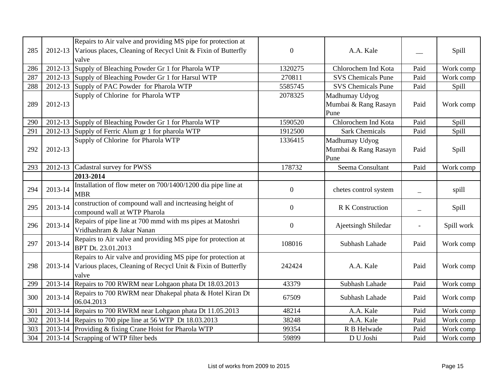| 285 | 2012-13 | Repairs to Air valve and providing MS pipe for protection at<br>Various places, Cleaning of Recycl Unit & Fixin of Butterfly<br>valve | $\boldsymbol{0}$ | A.A. Kale                                      |                          | Spill        |
|-----|---------|---------------------------------------------------------------------------------------------------------------------------------------|------------------|------------------------------------------------|--------------------------|--------------|
| 286 |         | 2012-13 Supply of Bleaching Powder Gr 1 for Pharola WTP                                                                               | 1320275          | Chlorochem Ind Kota                            | Paid                     | Work comp    |
| 287 |         | 2012-13 Supply of Bleaching Powder Gr 1 for Harsul WTP                                                                                | 270811           | <b>SVS Chemicals Pune</b>                      | Paid                     | Work comp    |
| 288 |         | 2012-13 Supply of PAC Powder for Pharola WTP                                                                                          | 5585745          | <b>SVS Chemicals Pune</b>                      | Paid                     | Spill        |
| 289 | 2012-13 | Supply of Chlorine for Pharola WTP                                                                                                    | 2078325          | Madhumay Udyog<br>Mumbai & Rang Rasayn<br>Pune | Paid                     | Work comp    |
| 290 |         | 2012-13 Supply of Bleaching Powder Gr 1 for Pharola WTP                                                                               | 1590520          | Chlorochem Ind Kota                            | Paid                     | Spill        |
| 291 |         | 2012-13 Supply of Ferric Alum gr 1 for pharola WTP                                                                                    | 1912500          | <b>Sark Chemicals</b>                          | Paid                     | Spill        |
| 292 | 2012-13 | Supply of Chlorine for Pharola WTP                                                                                                    | 1336415          | Madhumay Udyog<br>Mumbai & Rang Rasayn<br>Pune | Paid                     | Spill        |
| 293 |         | 2012-13 Cadastral survey for PWSS                                                                                                     | 178732           | Seema Consultant                               | Paid                     | Work comp    |
|     |         | 2013-2014                                                                                                                             |                  |                                                |                          |              |
| 294 | 2013-14 | Installation of flow meter on 700/1400/1200 dia pipe line at<br><b>MBR</b>                                                            | $\mathbf{0}$     | chetes control system                          |                          | spill        |
| 295 | 2013-14 | construction of compound wall and incrteasing height of<br>compound wall at WTP Pharola                                               | $\boldsymbol{0}$ | <b>R K Construction</b>                        | $\overline{\phantom{0}}$ | <b>Spill</b> |
| 296 | 2013-14 | Repairs of pipe line at 700 mmd with ms pipes at Matoshri<br>Vridhashram & Jakar Nanan                                                | $\mathbf{0}$     | Ajeetsingh Shiledar                            |                          | Spill work   |
| 297 | 2013-14 | Repairs to Air valve and providing MS pipe for protection at<br>BPT Dt. 23.01.2013                                                    | 108016           | Subhash Lahade                                 | Paid                     | Work comp    |
| 298 | 2013-14 | Repairs to Air valve and providing MS pipe for protection at<br>Various places, Cleaning of Recycl Unit & Fixin of Butterfly<br>valve | 242424           | A.A. Kale                                      | Paid                     | Work comp    |
| 299 |         | 2013-14 Repairs to 700 RWRM near Lohgaon phata Dt 18.03.2013                                                                          | 43379            | Subhash Lahade                                 | Paid                     | Work comp    |
| 300 | 2013-14 | Repairs to 700 RWRM near Dhakepal phata & Hotel Kiran Dt<br>06.04.2013                                                                | 67509            | Subhash Lahade                                 | Paid                     | Work comp    |
| 301 |         | 2013-14 Repairs to 700 RWRM near Lohgaon phata Dt 11.05.2013                                                                          | 48214            | A.A. Kale                                      | Paid                     | Work comp    |
| 302 | 2013-14 | Repairs to 700 pipe line at 56 WTP Dt 18.03.2013                                                                                      | 38248            | A.A. Kale                                      | Paid                     | Work comp    |
| 303 | 2013-14 | Providing & fixing Crane Hoist for Pharola WTP                                                                                        | 99354            | R B Helwade                                    | Paid                     | Work comp    |
| 304 |         | 2013-14 Scrapping of WTP filter beds                                                                                                  | 59899            | D U Joshi                                      | Paid                     | Work comp    |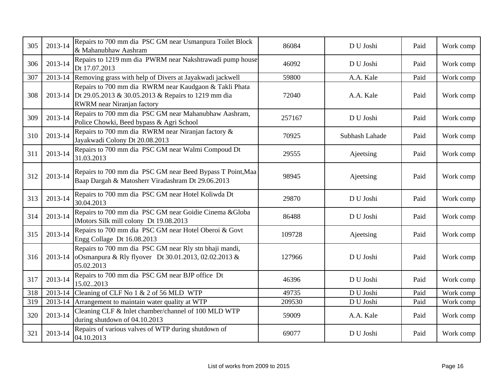| 305 | 2013-14 | Repairs to 700 mm dia PSC GM near Usmanpura Toilet Block<br>& Mahanubhaw Aashram                                                            | 86084  | D U Joshi      | Paid | Work comp |
|-----|---------|---------------------------------------------------------------------------------------------------------------------------------------------|--------|----------------|------|-----------|
| 306 | 2013-14 | Repairs to 1219 mm dia PWRM near Nakshtrawadi pump house<br>Dt 17.07.2013                                                                   | 46092  | D U Joshi      | Paid | Work comp |
| 307 | 2013-14 | Removing grass with help of Divers at Jayakwadi jackwell                                                                                    | 59800  | A.A. Kale      | Paid | Work comp |
| 308 | 2013-14 | Repairs to 700 mm dia RWRM near Kaudgaon & Takli Phata<br>Dt 29.05.2013 & 30.05.2013 & Repairs to 1219 mm dia<br>RWRM near Niranjan factory | 72040  | A.A. Kale      | Paid | Work comp |
| 309 | 2013-14 | Repairs to 700 mm dia PSC GM near Mahanubhaw Aashram,<br>Police Chowki, Beed bypass & Agri School                                           | 257167 | D U Joshi      | Paid | Work comp |
| 310 | 2013-14 | Repairs to 700 mm dia RWRM near Niranjan factory &<br>Jayakwadi Colony Dt 20.08.2013                                                        | 70925  | Subhash Lahade | Paid | Work comp |
| 311 | 2013-14 | Repairs to 700 mm dia PSC GM near Walmi Compoud Dt<br>31.03.2013                                                                            | 29555  | Ajeetsing      | Paid | Work comp |
| 312 | 2013-14 | Repairs to 700 mm dia PSC GM near Beed Bypass T Point, Maa<br>Baap Dargah & Matosherr Viradashram Dt 29.06.2013                             | 98945  | Ajeetsing      | Paid | Work comp |
| 313 | 2013-14 | Repairs to 700 mm dia PSC GM near Hotel Koliwda Dt<br>30.04.2013                                                                            | 29870  | D U Joshi      | Paid | Work comp |
| 314 | 2013-14 | Repairs to 700 mm dia PSC GM near Goidie Cinema & Globa<br>IMotors Silk mill colony Dt 19.08.2013                                           | 86488  | D U Joshi      | Paid | Work comp |
| 315 | 2013-14 | Repairs to 700 mm dia PSC GM near Hotel Oberoi & Govt<br>Engg Collage Dt 16.08.2013                                                         | 109728 | Ajeetsing      | Paid | Work comp |
| 316 | 2013-14 | Repairs to 700 mm dia PSC GM near Rly stn bhaji mandi,<br>oOsmanpura & Rly flyover Dt 30.01.2013, 02.02.2013 &<br>05.02.2013                | 127966 | D U Joshi      | Paid | Work comp |
| 317 | 2013-14 | Repairs to 700 mm dia PSC GM near BJP office Dt<br>15.022013                                                                                | 46396  | D U Joshi      | Paid | Work comp |
| 318 | 2013-14 | Cleaning of CLF No 1 & 2 of 56 MLD WTP                                                                                                      | 49735  | D U Joshi      | Paid | Work comp |
| 319 |         | 2013-14 Arrangement to maintain water quality at WTP                                                                                        | 209530 | D U Joshi      | Paid | Work comp |
| 320 | 2013-14 | Cleaning CLF & Inlet chamber/channel of 100 MLD WTP<br>during shutdown of 04.10.2013                                                        | 59009  | A.A. Kale      | Paid | Work comp |
| 321 | 2013-14 | Repairs of various valves of WTP during shutdown of<br>04.10.2013                                                                           | 69077  | D U Joshi      | Paid | Work comp |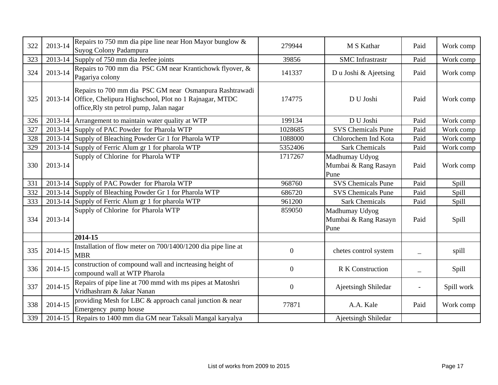| 322 | 2013-14 | Repairs to 750 mm dia pipe line near Hon Mayor bunglow $\&$<br>Suyog Colony Padampura                                                                                 | 279944           | M S Kathar                                     | Paid | Work comp  |
|-----|---------|-----------------------------------------------------------------------------------------------------------------------------------------------------------------------|------------------|------------------------------------------------|------|------------|
| 323 |         | 2013-14 Supply of 750 mm dia Jeefee joints                                                                                                                            | 39856            | <b>SMC</b> Infrastrastr                        | Paid | Work comp  |
| 324 | 2013-14 | Repairs to 700 mm dia PSC GM near Krantichowk flyover, &<br>Pagariya colony                                                                                           | 141337           | Du Joshi & Ajeetsing                           | Paid | Work comp  |
| 325 |         | Repairs to 700 mm dia PSC GM near Osmanpura Rashtrawadi<br>2013-14 Office, Chelipura Highschool, Plot no 1 Rajnagar, MTDC<br>office, Rly stn petrol pump, Jalan nagar | 174775           | D U Joshi                                      | Paid | Work comp  |
| 326 | 2013-14 | Arrangement to maintain water quality at WTP                                                                                                                          | 199134           | D U Joshi                                      | Paid | Work comp  |
| 327 |         | 2013-14 Supply of PAC Powder for Pharola WTP                                                                                                                          | 1028685          | <b>SVS Chemicals Pune</b>                      | Paid | Work comp  |
| 328 |         | 2013-14 Supply of Bleaching Powder Gr 1 for Pharola WTP                                                                                                               | 1088000          | Chlorochem Ind Kota                            | Paid | Work comp  |
| 329 |         | 2013-14 Supply of Ferric Alum gr 1 for pharola WTP                                                                                                                    | 5352406          | <b>Sark Chemicals</b>                          | Paid | Work comp  |
| 330 | 2013-14 | Supply of Chlorine for Pharola WTP                                                                                                                                    | 1717267          | Madhumay Udyog<br>Mumbai & Rang Rasayn<br>Pune | Paid | Work comp  |
| 331 |         | 2013-14 Supply of PAC Powder for Pharola WTP                                                                                                                          | 968760           | <b>SVS Chemicals Pune</b>                      | Paid | Spill      |
| 332 |         | 2013-14 Supply of Bleaching Powder Gr 1 for Pharola WTP                                                                                                               | 686720           | <b>SVS Chemicals Pune</b>                      | Paid | Spill      |
| 333 |         | 2013-14 Supply of Ferric Alum gr 1 for pharola WTP                                                                                                                    | 961200           | <b>Sark Chemicals</b>                          | Paid | Spill      |
| 334 | 2013-14 | Supply of Chlorine for Pharola WTP                                                                                                                                    | 859050           | Madhumay Udyog<br>Mumbai & Rang Rasayn<br>Pune | Paid | Spill      |
|     |         | 2014-15                                                                                                                                                               |                  |                                                |      |            |
| 335 | 2014-15 | Installation of flow meter on 700/1400/1200 dia pipe line at<br><b>MBR</b>                                                                                            | $\boldsymbol{0}$ | chetes control system                          |      | spill      |
| 336 | 2014-15 | construction of compound wall and incrteasing height of<br>compound wall at WTP Pharola                                                                               | $\boldsymbol{0}$ | R K Construction                               |      | Spill      |
| 337 | 2014-15 | Repairs of pipe line at 700 mmd with ms pipes at Matoshri<br>Vridhashram & Jakar Nanan                                                                                | $\boldsymbol{0}$ | Ajeetsingh Shiledar                            |      | Spill work |
| 338 | 2014-15 | providing Mesh for LBC & approach canal junction & near<br>Emergency pump house                                                                                       | 77871            | A.A. Kale                                      | Paid | Work comp  |
| 339 | 2014-15 | Repairs to 1400 mm dia GM near Taksali Mangal karyalya                                                                                                                |                  | Ajeetsingh Shiledar                            |      |            |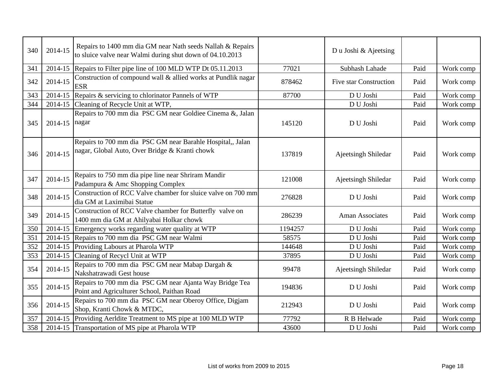| 340 | 2014-15 | Repairs to 1400 mm dia GM near Nath seeds Nallah & Repairs<br>to sluice valve near Walmi during shut down of 04.10.2013 |         | Du Joshi & Ajeetsing          |      |           |
|-----|---------|-------------------------------------------------------------------------------------------------------------------------|---------|-------------------------------|------|-----------|
| 341 | 2014-15 | Repairs to Filter pipe line of 100 MLD WTP Dt 05.11.2013                                                                | 77021   | Subhash Lahade                | Paid | Work comp |
| 342 | 2014-15 | Construction of compound wall & allied works at Pundlik nagar<br><b>ESR</b>                                             | 878462  | <b>Five star Construction</b> | Paid | Work comp |
| 343 |         | 2014-15 Repairs & servicing to chlorinator Pannels of WTP                                                               | 87700   | D U Joshi                     | Paid | Work comp |
| 344 | 2014-15 | Cleaning of Recycle Unit at WTP,                                                                                        |         | D U Joshi                     | Paid | Work comp |
| 345 | 2014-15 | Repairs to 700 mm dia PSC GM near Goldiee Cinema &, Jalan<br>nagar                                                      | 145120  | D U Joshi                     | Paid | Work comp |
| 346 | 2014-15 | Repairs to 700 mm dia PSC GM near Barahle Hospital,, Jalan<br>nagar, Global Auto, Over Bridge & Kranti chowk            | 137819  | Ajeetsingh Shiledar           | Paid | Work comp |
| 347 | 2014-15 | Repairs to 750 mm dia pipe line near Shriram Mandir<br>Padampura & Amc Shopping Complex                                 | 121008  | Ajeetsingh Shiledar           | Paid | Work comp |
| 348 | 2014-15 | Construction of RCC Valve chamber for sluice valve on 700 mm<br>dia GM at Laximibai Statue                              | 276828  | D U Joshi                     | Paid | Work comp |
| 349 | 2014-15 | Construction of RCC Valve chamber for Butterfly valve on<br>1400 mm dia GM at Ahilyabai Holkar chowk                    | 286239  | <b>Aman Associates</b>        | Paid | Work comp |
| 350 | 2014-15 | Emergency works regarding water quality at WTP                                                                          | 1194257 | D U Joshi                     | Paid | Work comp |
| 351 | 2014-15 | Repairs to 700 mm dia PSC GM near Walmi                                                                                 | 58575   | D U Joshi                     | Paid | Work comp |
| 352 | 2014-15 | Providing Labours at Pharola WTP                                                                                        | 144648  | D U Joshi                     | Paid | Work comp |
| 353 | 2014-15 | Cleaning of Recycl Unit at WTP                                                                                          | 37895   | D U Joshi                     | Paid | Work comp |
| 354 | 2014-15 | Repairs to 700 mm dia PSC GM near Mabap Dargah &<br>Nakshatrawadi Gest house                                            | 99478   | Ajeetsingh Shiledar           | Paid | Work comp |
| 355 | 2014-15 | Repairs to 700 mm dia PSC GM near Ajanta Way Bridge Tea<br>Point and Agriculturer School, Paithan Road                  | 194836  | D U Joshi                     | Paid | Work comp |
| 356 | 2014-15 | Repairs to 700 mm dia PSC GM near Oberoy Office, Digjam<br>Shop, Kranti Chowk & MTDC,                                   | 212943  | D U Joshi                     | Paid | Work comp |
| 357 | 2014-15 | Providing Aerldite Treatment to MS pipe at 100 MLD WTP                                                                  | 77792   | R B Helwade                   | Paid | Work comp |
| 358 |         | 2014-15 Transportation of MS pipe at Pharola WTP                                                                        | 43600   | D U Joshi                     | Paid | Work comp |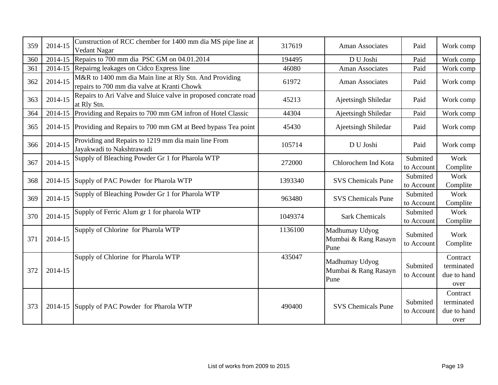| 359 | 2014-15 | Cunstruction of RCC chember for 1400 mm dia MS pipe line at<br>Vedant Nagar                           | 317619  | Aman Associates                                | Paid                   | Work comp                                     |
|-----|---------|-------------------------------------------------------------------------------------------------------|---------|------------------------------------------------|------------------------|-----------------------------------------------|
| 360 |         | 2014-15 Repairs to 700 mm dia PSC GM on 04.01.2014                                                    | 194495  | D U Joshi                                      | Paid                   | Work comp                                     |
| 361 |         | 2014-15 Repairing leakages on Cidco Express line                                                      | 46080   | Aman Associates                                | Paid                   | Work comp                                     |
| 362 | 2014-15 | M&R to 1400 mm dia Main line at Rly Stn. And Providing<br>repairs to 700 mm dia valve at Kranti Chowk | 61972   | <b>Aman Associates</b>                         | Paid                   | Work comp                                     |
| 363 | 2014-15 | Repairs to Ari Valve and Sluice valve in proposed concrate road<br>at Rly Stn.                        | 45213   | Ajeetsingh Shiledar                            | Paid                   | Work comp                                     |
| 364 | 2014-15 | Providing and Repairs to 700 mm GM infron of Hotel Classic                                            | 44304   | Ajeetsingh Shiledar                            | Paid                   | Work comp                                     |
| 365 |         | 2014-15 Providing and Repairs to 700 mm GM at Beed bypass Tea point                                   | 45430   | Ajeetsingh Shiledar                            | Paid                   | Work comp                                     |
| 366 | 2014-15 | Providing and Repairs to 1219 mm dia main line From<br>Jayakwadi to Nakshtrawadi                      | 105714  | D U Joshi                                      | Paid                   | Work comp                                     |
| 367 | 2014-15 | Supply of Bleaching Powder Gr 1 for Pharola WTP                                                       | 272000  | Chlorochem Ind Kota                            | Submited<br>to Account | Work<br>Complite                              |
| 368 | 2014-15 | Supply of PAC Powder for Pharola WTP                                                                  | 1393340 | <b>SVS</b> Chemicals Pune                      | Submited<br>to Account | Work<br>Complite                              |
| 369 | 2014-15 | Supply of Bleaching Powder Gr 1 for Pharola WTP                                                       | 963480  | <b>SVS</b> Chemicals Pune                      | Submited<br>to Account | Work<br>Complite                              |
| 370 | 2014-15 | Supply of Ferric Alum gr 1 for pharola WTP                                                            | 1049374 | <b>Sark Chemicals</b>                          | Submited<br>to Account | Work<br>Complite                              |
| 371 | 2014-15 | Supply of Chlorine for Pharola WTP                                                                    | 1136100 | Madhumay Udyog<br>Mumbai & Rang Rasayn<br>Pune | Submited<br>to Account | Work<br>Complite                              |
| 372 | 2014-15 | Supply of Chlorine for Pharola WTP                                                                    | 435047  | Madhumay Udyog<br>Mumbai & Rang Rasayn<br>Pune | Submited<br>to Account | Contract<br>terminated<br>due to hand<br>over |
| 373 |         | 2014-15 Supply of PAC Powder for Pharola WTP                                                          | 490400  | <b>SVS Chemicals Pune</b>                      | Submited<br>to Account | Contract<br>terminated<br>due to hand<br>over |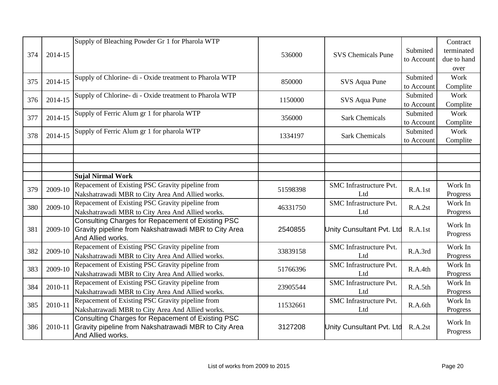|     |         | Supply of Bleaching Powder Gr 1 for Pharola WTP                                                           |          |                                | Submited               | Contract<br>terminated |
|-----|---------|-----------------------------------------------------------------------------------------------------------|----------|--------------------------------|------------------------|------------------------|
| 374 | 2014-15 |                                                                                                           | 536000   | <b>SVS Chemicals Pune</b>      | to Account             | due to hand            |
|     |         |                                                                                                           |          |                                |                        | over                   |
| 375 | 2014-15 | Supply of Chlorine- di - Oxide treatment to Pharola WTP                                                   | 850000   | SVS Aqua Pune                  | Submited               | Work                   |
|     |         |                                                                                                           |          |                                | to Account             | Complite               |
| 376 | 2014-15 | Supply of Chlorine- di - Oxide treatment to Pharola WTP                                                   | 1150000  | SVS Aqua Pune                  | Submited               | Work                   |
|     |         |                                                                                                           |          |                                | to Account             | Complite               |
| 377 | 2014-15 | Supply of Ferric Alum gr 1 for pharola WTP                                                                | 356000   | <b>Sark Chemicals</b>          | Submited<br>to Account | Work<br>Complite       |
|     |         | Supply of Ferric Alum gr 1 for pharola WTP                                                                |          |                                | Submited               | Work                   |
| 378 | 2014-15 |                                                                                                           | 1334197  | <b>Sark Chemicals</b>          | to Account             | Complite               |
|     |         |                                                                                                           |          |                                |                        |                        |
|     |         |                                                                                                           |          |                                |                        |                        |
|     |         |                                                                                                           |          |                                |                        |                        |
|     |         | <b>Sujal Nirmal Work</b>                                                                                  |          |                                |                        |                        |
| 379 | 2009-10 | Repacement of Existing PSC Gravity pipeline from                                                          | 51598398 | <b>SMC</b> Infrastructure Pvt. | R.A.1st                | Work In                |
|     |         | Nakshatrawadi MBR to City Area And Allied works.                                                          |          | Ltd                            |                        | Progress               |
| 380 | 2009-10 | Repacement of Existing PSC Gravity pipeline from                                                          | 46331750 | <b>SMC</b> Infrastructure Pvt. | R.A.2st                | Work In                |
|     |         | Nakshatrawadi MBR to City Area And Allied works.                                                          |          | Ltd                            |                        | Progress               |
| 381 | 2009-10 | Consulting Charges for Repacement of Existing PSC<br>Gravity pipeline from Nakshatrawadi MBR to City Area | 2540855  | Unity Cunsultant Pvt. Ltd      | R.A.1st                | Work In                |
|     |         | And Allied works.                                                                                         |          |                                |                        | Progress               |
|     |         | Repacement of Existing PSC Gravity pipeline from                                                          |          | <b>SMC</b> Infrastructure Pvt. |                        | Work In                |
| 382 | 2009-10 | Nakshatrawadi MBR to City Area And Allied works.                                                          | 33839158 | Ltd                            | R.A.3rd                | Progress               |
| 383 | 2009-10 | Repacement of Existing PSC Gravity pipeline from                                                          | 51766396 | <b>SMC</b> Infrastructure Pvt. | R.A.4th                | Work In                |
|     |         | Nakshatrawadi MBR to City Area And Allied works.                                                          |          | Ltd                            |                        | Progress               |
| 384 | 2010-11 | Repacement of Existing PSC Gravity pipeline from                                                          | 23905544 | <b>SMC</b> Infrastructure Pvt. | R.A.5th                | Work In                |
|     |         | Nakshatrawadi MBR to City Area And Allied works.                                                          |          | Ltd                            |                        | Progress               |
| 385 | 2010-11 | Repacement of Existing PSC Gravity pipeline from                                                          | 11532661 | <b>SMC</b> Infrastructure Pvt. | R.A.6th                | Work In                |
|     |         | Nakshatrawadi MBR to City Area And Allied works.                                                          |          | Ltd                            |                        | Progress               |
| 386 | 2010-11 | Consulting Charges for Repacement of Existing PSC                                                         |          |                                |                        | Work In                |
|     |         | Gravity pipeline from Nakshatrawadi MBR to City Area<br>And Allied works.                                 | 3127208  | Unity Cunsultant Pvt. Ltd      | R.A.2st                | Progress               |
|     |         |                                                                                                           |          |                                |                        |                        |